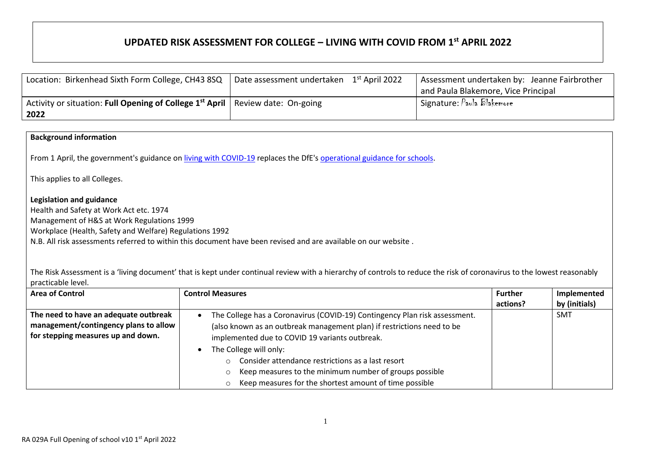## **UPDATED RISK ASSESSMENT FOR COLLEGE – LIVING WITH COVID FROM 1st APRIL 2022**

| Location: Birkenhead Sixth Form College, CH43 8SQ                                     | Date assessment undertaken<br>$1^\mathrm{st}$ April 2022 | Assessment undertaken by: Jeanne Fairbrother |
|---------------------------------------------------------------------------------------|----------------------------------------------------------|----------------------------------------------|
|                                                                                       |                                                          | and Paula Blakemore, Vice Principal          |
| Activity or situation: Full Opening of College $1^{st}$ April   Review date: On-going |                                                          | Signature: $P$ aula Blakemore                |
| 2022                                                                                  |                                                          |                                              |

## **Background information**

From 1 April, the government's guidance on [living with COVID-19](https://www.gov.uk/government/publications/covid-19-response-living-with-covid-19) replaces the DfE's [operational guidance for schools.](https://www.gov.uk/government/publications/actions-for-schools-during-the-coronavirus-outbreak)

This applies to all Colleges.

## **Legislation and guidance**

Health and Safety at Work Act etc. 1974 Management of H&S at Work Regulations 1999 Workplace (Health, Safety and Welfare) Regulations 1992

N.B. All risk assessments referred to within this document have been revised and are available on our website .

The Risk Assessment is a 'living document' that is kept under continual review with a hierarchy of controls to reduce the risk of coronavirus to the lowest reasonably practicable level.

| <b>Area of Control</b>                | <b>Control Measures</b>                                                    | <b>Further</b> | Implemented   |
|---------------------------------------|----------------------------------------------------------------------------|----------------|---------------|
|                                       |                                                                            | actions?       | by (initials) |
| The need to have an adequate outbreak | The College has a Coronavirus (COVID-19) Contingency Plan risk assessment. |                | SMT           |
| management/contingency plans to allow | (also known as an outbreak management plan) if restrictions need to be     |                |               |
| for stepping measures up and down.    | implemented due to COVID 19 variants outbreak.                             |                |               |
|                                       | The College will only:                                                     |                |               |
|                                       | $\circ$ Consider attendance restrictions as a last resort                  |                |               |
|                                       | Keep measures to the minimum number of groups possible<br>$\circ$          |                |               |
|                                       | Keep measures for the shortest amount of time possible                     |                |               |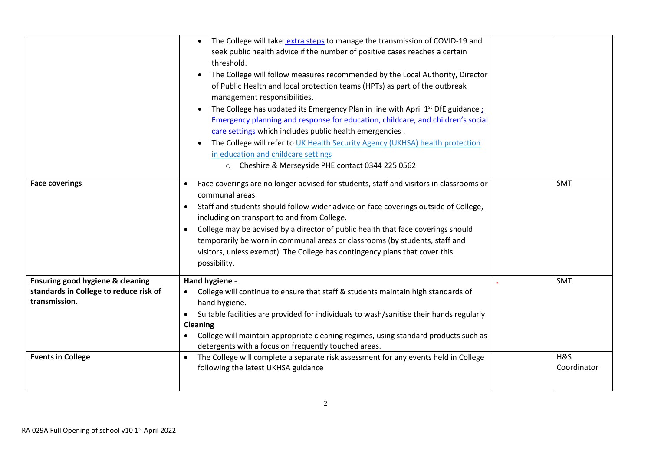|                                                                                                                         | The College will take extra steps to manage the transmission of COVID-19 and<br>$\bullet$<br>seek public health advice if the number of positive cases reaches a certain<br>threshold.<br>The College will follow measures recommended by the Local Authority, Director<br>$\bullet$<br>of Public Health and local protection teams (HPTs) as part of the outbreak<br>management responsibilities.<br>The College has updated its Emergency Plan in line with April 1 <sup>st</sup> DfE guidance:<br>$\bullet$<br>Emergency planning and response for education, childcare, and children's social<br>care settings which includes public health emergencies.<br>The College will refer to UK Health Security Agency (UKHSA) health protection<br>in education and childcare settings<br>o Cheshire & Merseyside PHE contact 0344 225 0562 |                                  |
|-------------------------------------------------------------------------------------------------------------------------|-------------------------------------------------------------------------------------------------------------------------------------------------------------------------------------------------------------------------------------------------------------------------------------------------------------------------------------------------------------------------------------------------------------------------------------------------------------------------------------------------------------------------------------------------------------------------------------------------------------------------------------------------------------------------------------------------------------------------------------------------------------------------------------------------------------------------------------------|----------------------------------|
| <b>Face coverings</b>                                                                                                   | Face coverings are no longer advised for students, staff and visitors in classrooms or<br>$\bullet$<br>communal areas.<br>Staff and students should follow wider advice on face coverings outside of College,<br>$\bullet$<br>including on transport to and from College.<br>College may be advised by a director of public health that face coverings should<br>$\bullet$<br>temporarily be worn in communal areas or classrooms (by students, staff and<br>visitors, unless exempt). The College has contingency plans that cover this<br>possibility.                                                                                                                                                                                                                                                                                  | <b>SMT</b>                       |
| Ensuring good hygiene & cleaning<br>standards in College to reduce risk of<br>transmission.<br><b>Events in College</b> | Hand hygiene -<br>College will continue to ensure that staff & students maintain high standards of<br>hand hygiene.<br>Suitable facilities are provided for individuals to wash/sanitise their hands regularly<br>$\bullet$<br>Cleaning<br>College will maintain appropriate cleaning regimes, using standard products such as<br>detergents with a focus on frequently touched areas.<br>The College will complete a separate risk assessment for any events held in College<br>$\bullet$<br>following the latest UKHSA guidance                                                                                                                                                                                                                                                                                                         | <b>SMT</b><br>H&S<br>Coordinator |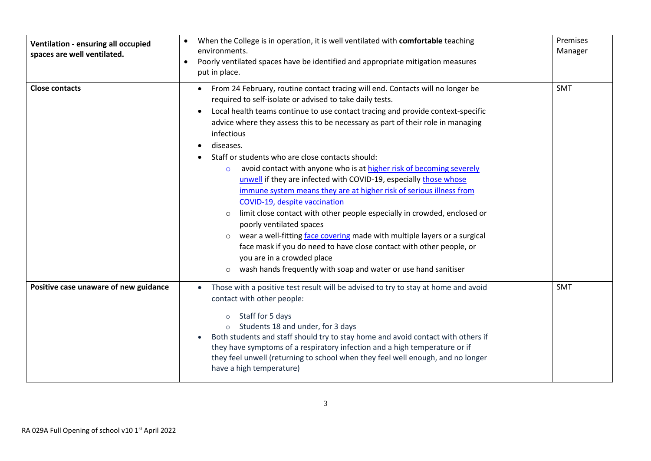| Ventilation - ensuring all occupied<br>spaces are well ventilated. | When the College is in operation, it is well ventilated with comfortable teaching<br>environments.<br>Poorly ventilated spaces have be identified and appropriate mitigation measures<br>$\bullet$<br>put in place.                                                                                                                                                                                                                                                                                                                                                                                                                                                                                                                                                                                                                                                                                                                                                                                                                                            | Premises<br>Manager |
|--------------------------------------------------------------------|----------------------------------------------------------------------------------------------------------------------------------------------------------------------------------------------------------------------------------------------------------------------------------------------------------------------------------------------------------------------------------------------------------------------------------------------------------------------------------------------------------------------------------------------------------------------------------------------------------------------------------------------------------------------------------------------------------------------------------------------------------------------------------------------------------------------------------------------------------------------------------------------------------------------------------------------------------------------------------------------------------------------------------------------------------------|---------------------|
| <b>Close contacts</b>                                              | From 24 February, routine contact tracing will end. Contacts will no longer be<br>required to self-isolate or advised to take daily tests.<br>Local health teams continue to use contact tracing and provide context-specific<br>advice where they assess this to be necessary as part of their role in managing<br>infectious<br>diseases.<br>Staff or students who are close contacts should:<br>avoid contact with anyone who is at higher risk of becoming severely<br>$\circ$<br>unwell if they are infected with COVID-19, especially those whose<br>immune system means they are at higher risk of serious illness from<br>COVID-19, despite vaccination<br>limit close contact with other people especially in crowded, enclosed or<br>$\circ$<br>poorly ventilated spaces<br>wear a well-fitting face covering made with multiple layers or a surgical<br>$\circ$<br>face mask if you do need to have close contact with other people, or<br>you are in a crowded place<br>wash hands frequently with soap and water or use hand sanitiser<br>$\circ$ | <b>SMT</b>          |
| Positive case unaware of new guidance                              | Those with a positive test result will be advised to try to stay at home and avoid<br>contact with other people:<br>Staff for 5 days<br>Students 18 and under, for 3 days<br>Both students and staff should try to stay home and avoid contact with others if<br>they have symptoms of a respiratory infection and a high temperature or if<br>they feel unwell (returning to school when they feel well enough, and no longer<br>have a high temperature)                                                                                                                                                                                                                                                                                                                                                                                                                                                                                                                                                                                                     | <b>SMT</b>          |